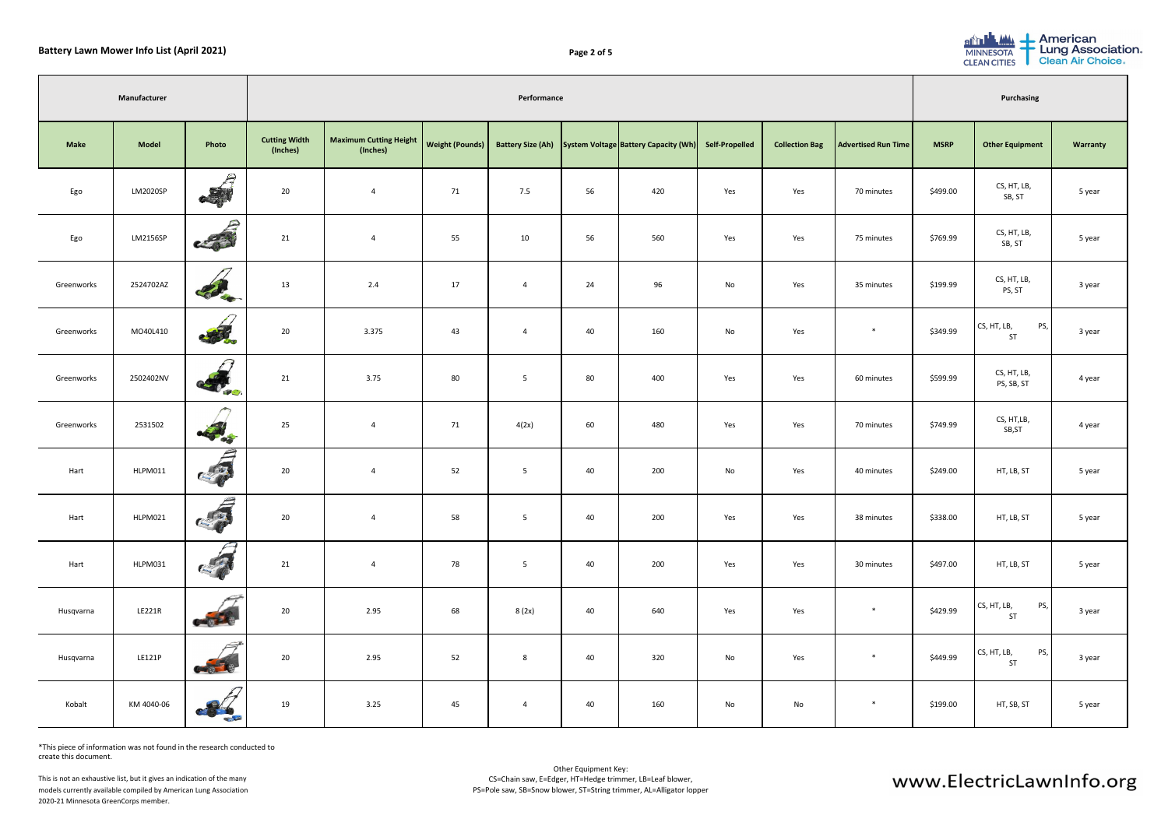| can<br><b>Association</b><br>Air Choice. |  |
|------------------------------------------|--|
|                                          |  |
| <b>Warranty</b>                          |  |
| 5 year                                   |  |
| 5 year                                   |  |
| 3 year                                   |  |
| 3 year                                   |  |
| 4 year                                   |  |
| 4 year                                   |  |
| 5 year                                   |  |
| 5 year                                   |  |
| year                                     |  |
| 3 year                                   |  |
| 3 year                                   |  |
| 5 year                                   |  |



|             | Manufacturer  |                                                      |                                  | Performance                                            |    |                          |    |                                      |                       |                       |                            | <b>Purchasing</b> |                                 |          |
|-------------|---------------|------------------------------------------------------|----------------------------------|--------------------------------------------------------|----|--------------------------|----|--------------------------------------|-----------------------|-----------------------|----------------------------|-------------------|---------------------------------|----------|
| <b>Make</b> | <b>Model</b>  | Photo                                                | <b>Cutting Width</b><br>(Inches) | Maximum Cutting Height   Weight (Pounds)  <br>(Inches) |    | <b>Battery Size (Ah)</b> |    | System Voltage Battery Capacity (Wh) | <b>Self-Propelled</b> | <b>Collection Bag</b> | <b>Advertised Run Time</b> | <b>MSRP</b>       | <b>Other Equipment</b>          | Warranty |
| Ego         | LM2020SP      | €<br>$\frac{1}{\sqrt{2}}$                            | 20                               | $\overline{4}$                                         | 71 | 7.5                      | 56 | 420                                  | Yes                   | Yes                   | 70 minutes                 | \$499.00          | CS, HT, LB,<br>SB, ST           | 5 year   |
| Ego         | LM2156SP      | 25000                                                | 21                               | $\overline{4}$                                         | 55 | 10                       | 56 | 560                                  | Yes                   | Yes                   | 75 minutes                 | \$769.99          | CS, HT, LB,<br>SB, ST           | 5 year   |
| Greenworks  | 2524702AZ     | Colege                                               | 13                               | 2.4                                                    | 17 | $\overline{4}$           | 24 | 96                                   | No                    | Yes                   | 35 minutes                 | \$199.99          | CS, HT, LB,<br>PS, ST           | 3 year   |
| Greenworks  | MO40L410      | <b>SAL</b>                                           | 20                               | 3.375                                                  | 43 | $\overline{4}$           | 40 | 160                                  | No                    | Yes                   | $\ast$                     | \$349.99          | CS, HT, LB,<br>PS,<br><b>ST</b> | 3 year   |
| Greenworks  | 2502402NV     | $\mathcal{L}$<br><b>COLORED</b>                      | 21                               | 3.75                                                   | 80 | 5                        | 80 | 400                                  | Yes                   | Yes                   | 60 minutes                 | \$599.99          | CS, HT, LB,<br>PS, SB, ST       | 4 year   |
| Greenworks  | 2531502       | $\rightarrow$<br><b>Contract on the Second State</b> | 25                               | $\overline{4}$                                         | 71 | 4(2x)                    | 60 | 480                                  | Yes                   | Yes                   | 70 minutes                 | \$749.99          | CS, HT,LB,<br>SB, ST            | 4 year   |
| Hart        | HLPM011       | $\overline{\boldsymbol{\beta}}$<br>$\frac{1}{2}$     | 20                               | $\overline{4}$                                         | 52 | 5                        | 40 | 200                                  | No                    | Yes                   | 40 minutes                 | \$249.00          | HT, LB, ST                      | 5 year   |
| Hart        | HLPM021       |                                                      | 20                               | $\overline{4}$                                         | 58 | $5\overline{)}$          | 40 | 200                                  | Yes                   | Yes                   | 38 minutes                 | \$338.00          | HT, LB, ST                      | 5 year   |
| Hart        | HLPM031       | $\sqrt{2}$<br>CER                                    | 21                               | $\overline{4}$                                         | 78 | 5                        | 40 | 200                                  | Yes                   | Yes                   | 30 minutes                 | \$497.00          | HT, LB, ST                      | 5 year   |
| Husqvarna   | <b>LE221R</b> | $\frac{1}{2}$                                        | 20                               | 2.95                                                   | 68 | 8(2x)                    | 40 | 640                                  | Yes                   | Yes                   | $*$                        | \$429.99          | PS,<br>CS, HT, LB,<br><b>ST</b> | 3 year   |
| Husqvarna   | LE121P        |                                                      | 20                               | 2.95                                                   | 52 | 8                        | 40 | 320                                  | No                    | Yes                   | $*$                        | \$449.99          | PS,<br>CS, HT, LB,<br>ST        | 3 year   |
| Kobalt      | KM 4040-06    | <b>Contract Service</b>                              | 19                               | 3.25                                                   | 45 | 4                        | 40 | 160                                  | No                    | No                    | *                          | \$199.00          | HT, SB, ST                      | 5 year   |

\*This piece of information was not found in the research conducted to create this document.

This is not an exhaustive list, but it gives an indication of the many models currently available compiled by American Lung Association 2020-21 Minnesota GreenCorps member.

| AIAA.<br>$\mathbf{e}$ | Ameri   |
|-----------------------|---------|
| <b>MINNESOTA</b>      | Lung    |
| <b>CLEAN CITIES</b>   | Clean / |

| Page 2 of 5 |  |  |
|-------------|--|--|
|             |  |  |

# www.ElectricLawnInfo.org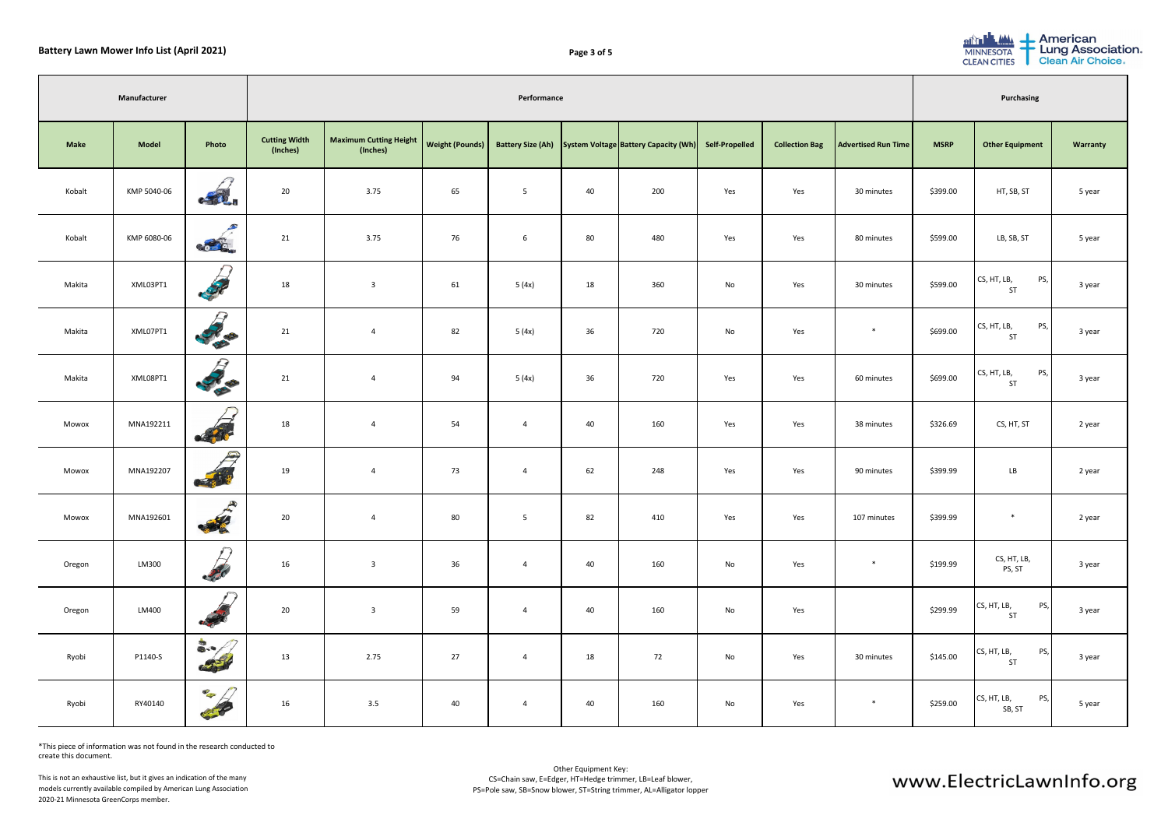| can<br><b>Association</b><br>Air Choice. |  |
|------------------------------------------|--|
|                                          |  |
| <b>Warranty</b>                          |  |
| 5 year                                   |  |
| 5 year                                   |  |
| 3 year                                   |  |
| 3 year                                   |  |
| 3 year                                   |  |
| 2 year                                   |  |
| 2 year                                   |  |
| 2 year                                   |  |
| year                                     |  |
| 3 year                                   |  |
| 3 year                                   |  |
| 5 year                                   |  |



|             | Manufacturer | Performance                                                 |                                  |                                                        |    |                          |    | <b>Purchasing</b>                    |                       |                       |                            |             |                                 |          |
|-------------|--------------|-------------------------------------------------------------|----------------------------------|--------------------------------------------------------|----|--------------------------|----|--------------------------------------|-----------------------|-----------------------|----------------------------|-------------|---------------------------------|----------|
| <b>Make</b> | <b>Model</b> | Photo                                                       | <b>Cutting Width</b><br>(Inches) | Maximum Cutting Height   Weight (Pounds)  <br>(Inches) |    | <b>Battery Size (Ah)</b> |    | System Voltage Battery Capacity (Wh) | <b>Self-Propelled</b> | <b>Collection Bag</b> | <b>Advertised Run Time</b> | <b>MSRP</b> | <b>Other Equipment</b>          | Warranty |
| Kobalt      | KMP 5040-06  | $\mathcal{L}(\mathcal{V})$                                  | 20                               | 3.75                                                   | 65 | $5\overline{)}$          | 40 | 200                                  | Yes                   | Yes                   | 30 minutes                 | \$399.00    | HT, SB, ST                      | 5 year   |
| Kobalt      | KMP 6080-06  | $\mathcal{L}$<br>$\frac{1}{2}$                              | 21                               | 3.75                                                   | 76 | 6                        | 80 | 480                                  | Yes                   | Yes                   | 80 minutes                 | \$599.00    | LB, SB, ST                      | 5 year   |
| Makita      | XML03PT1     | $-28$                                                       | 18                               | $\overline{3}$                                         | 61 | 5(4x)                    | 18 | 360                                  | No                    | Yes                   | 30 minutes                 | \$599.00    | PS,<br>CS, HT, LB,<br>ST        | 3 year   |
| Makita      | XML07PT1     | $\mathcal{D}$<br><b>Contract Contract Contract</b>          | 21                               | $\overline{4}$                                         | 82 | 5(4x)                    | 36 | 720                                  | No                    | Yes                   | $\ast$                     | \$699.00    | PS,<br>CS, HT, LB,<br><b>ST</b> | 3 year   |
| Makita      | XML08PT1     | ₽<br><b>CONTRACTOR</b>                                      | 21                               | $\overline{4}$                                         | 94 | 5(4x)                    | 36 | 720                                  | Yes                   | Yes                   | 60 minutes                 | \$699.00    | PS,<br>CS, HT, LB,<br>ST        | 3 year   |
| Mowox       | MNA192211    | of the                                                      | 18                               | $\overline{4}$                                         | 54 | 4                        | 40 | 160                                  | Yes                   | Yes                   | 38 minutes                 | \$326.69    | CS, HT, ST                      | 2 year   |
| Mowox       | MNA192207    | Q<br>CE 8 TO                                                | 19                               | $\overline{4}$                                         | 73 | 4                        | 62 | 248                                  | Yes                   | Yes                   | 90 minutes                 | \$399.99    | LB                              | 2 year   |
| Mowox       | MNA192601    | $\mathcal{L}$<br>$\frac{1}{2}$                              | 20                               | $\overline{4}$                                         | 80 | $5\phantom{.0}$          | 82 | 410                                  | Yes                   | Yes                   | 107 minutes                | \$399.99    | $*$                             | 2 year   |
| Oregon      | LM300        | $\bigcap$<br>200                                            | 16                               | $\overline{3}$                                         | 36 | 4                        | 40 | 160                                  | No                    | Yes                   | ∗                          | \$199.99    | CS, HT, LB,<br>PS, ST           | 3 year   |
| Oregon      | LM400        | $\frac{1}{\sqrt{2}}$                                        | 20                               | $\overline{3}$                                         | 59 | $\overline{4}$           | 40 | 160                                  | No                    | Yes                   |                            | \$299.99    | PS,<br>CS, HT, LB,<br>ST        | 3 year   |
| Ryobi       | P1140-S      | $\begin{array}{c} \bullet \\ \bullet \end{array}$<br>$\sim$ | 13                               | 2.75                                                   | 27 | $\overline{4}$           | 18 | 72                                   | No                    | Yes                   | 30 minutes                 | \$145.00    | PS,<br>CS, HT, LB,<br>ST        | 3 year   |
| Ryobi       | RY40140      | $\mathscr{P}$<br><b>CONTROL</b>                             | 16                               | 3.5                                                    | 40 | 4                        | 40 | 160                                  | No                    | Yes                   | $\ast$                     | \$259.00    | PS,<br>CS, HT, LB,<br>SB, ST    | 5 year   |

\*This piece of information was not found in the research conducted to create this document.

This is not an exhaustive list, but it gives an indication of the many models currently available compiled by American Lung Association 2020-21 Minnesota GreenCorps member.

| AIAA.<br>$\mathbf{d}$ | Ameri   |
|-----------------------|---------|
| <b>MINNESOTA</b>      | Lung.   |
| <b>CLEAN CITIES</b>   | Clean / |

| Page 3 of 5 |  |  |
|-------------|--|--|
|             |  |  |

# www.ElectricLawnInfo.org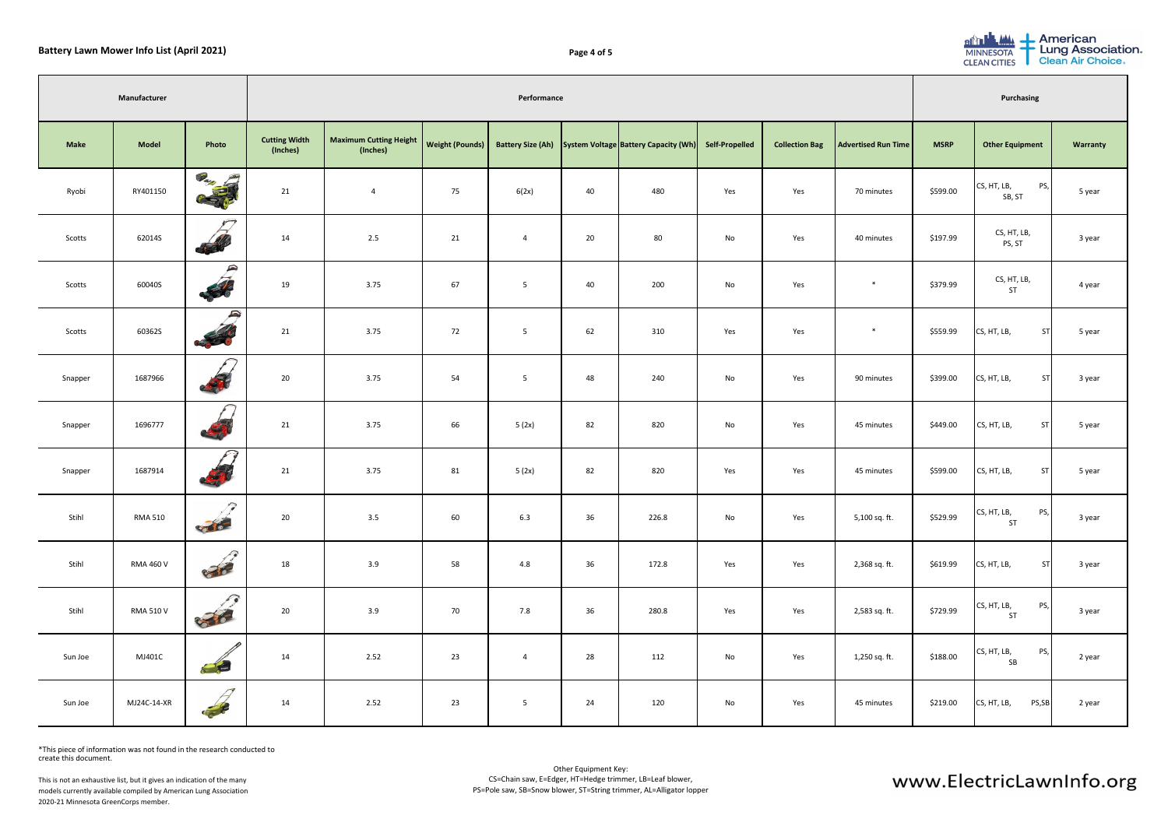## **Battery Lawn Mower Info List (April 2021) Page 4 of 5**

| rican<br><b>Association</b><br><b>Air Choice.</b> |  |
|---------------------------------------------------|--|
|                                                   |  |
| <b>Warranty</b>                                   |  |
| 5 year                                            |  |
| 3 year                                            |  |
| 4 year                                            |  |
| 5 year                                            |  |
| 3 year                                            |  |
| 5 year                                            |  |
| 5 year                                            |  |
| 3 year                                            |  |
| 3 year                                            |  |
| 3 year                                            |  |
| 2 year                                            |  |
| 2 year                                            |  |



|             | Manufacturer     | Performance<br><b>Purchasing</b>     |                                  |                                           |                 |                |    |                                                        |                       |                       |                            |             |                                 |          |
|-------------|------------------|--------------------------------------|----------------------------------|-------------------------------------------|-----------------|----------------|----|--------------------------------------------------------|-----------------------|-----------------------|----------------------------|-------------|---------------------------------|----------|
| <b>Make</b> | <b>Model</b>     | Photo                                | <b>Cutting Width</b><br>(Inches) | <b>Maximum Cutting Height</b><br>(Inches) | Weight (Pounds) |                |    | Battery Size (Ah) System Voltage Battery Capacity (Wh) | <b>Self-Propelled</b> | <b>Collection Bag</b> | <b>Advertised Run Time</b> | <b>MSRP</b> | <b>Other Equipment</b>          | Warranty |
| Ryobi       | RY401150         | <b>Company</b>                       | 21                               | $\overline{4}$                            | 75              | 6(2x)          | 40 | 480                                                    | Yes                   | Yes                   | 70 minutes                 | \$599.00    | PS,<br>CS, HT, LB,<br>SB, ST    | 5 year   |
| Scotts      | 62014S           | $\sqrt{ }$<br>556                    | 14                               | 2.5                                       | 21              | $\overline{4}$ | 20 | 80                                                     | No                    | Yes                   | 40 minutes                 | \$197.99    | CS, HT, LB,<br>PS, ST           | 3 year   |
| Scotts      | 60040S           | P<br>56                              | 19                               | 3.75                                      | 67              | 5              | 40 | 200                                                    | No                    | Yes                   | $\ast$                     | \$379.99    | CS, HT, LB,<br>ST               | 4 year   |
| Scotts      | 60362S           | $\rightarrow$<br>CO DI O             | 21                               | 3.75                                      | 72              | $5\phantom{1}$ | 62 | 310                                                    | Yes                   | Yes                   | $\ast$                     | \$559.99    | <b>ST</b><br>CS, HT, LB,        | 5 year   |
| Snapper     | 1687966          | A                                    | 20                               | 3.75                                      | 54              | 5              | 48 | 240                                                    | No                    | Yes                   | 90 minutes                 | \$399.00    | CS, HT, LB,<br><b>ST</b>        | 3 year   |
| Snapper     | 1696777          | <b>AST</b>                           | 21                               | 3.75                                      | 66              | 5(2x)          | 82 | 820                                                    | No                    | Yes                   | 45 minutes                 | \$449.00    | CS, HT, LB,<br><b>ST</b>        | 5 year   |
| Snapper     | 1687914          | <b>READ</b>                          | 21                               | 3.75                                      | 81              | 5(2x)          | 82 | 820                                                    | Yes                   | Yes                   | 45 minutes                 | \$599.00    | CS, HT, LB,<br><b>ST</b>        | 5 year   |
| Stihl       | <b>RMA 510</b>   | $\mathcal{P}$<br><b>COLLEGE BANK</b> | 20                               | 3.5                                       | 60              | 6.3            | 36 | 226.8                                                  | No                    | Yes                   | 5,100 sq. ft.              | \$529.99    | PS,<br>CS, HT, LB,<br>ST        | 3 year   |
| Stihl       | <b>RMA 460 V</b> | R<br>836                             | 18                               | 3.9                                       | 58              | 4.8            | 36 | 172.8                                                  | Yes                   | Yes                   | 2,368 sq. ft.              | \$619.99    | CS, HT, LB,<br><b>ST</b>        | 3 year   |
| Stihl       | <b>RMA 510 V</b> | R<br>836                             | 20                               | 3.9                                       | 70              | 7.8            | 36 | 280.8                                                  | Yes                   | Yes                   | 2,583 sq. ft.              | \$729.99    | PS,<br>CS, HT, LB,<br><b>ST</b> | 3 year   |
| Sun Joe     | MJ401C           | Sunjoz                               | 14                               | 2.52                                      | 23              | 4              | 28 | 112                                                    | No                    | Yes                   | 1,250 sq. ft.              | \$188.00    | PS,<br>CS, HT, LB,<br>SB        | 2 year   |
| Sun Joe     | MJ24C-14-XR      |                                      | 14                               | 2.52                                      | 23              | $5\phantom{1}$ | 24 | 120                                                    | No                    | Yes                   | 45 minutes                 | \$219.00    | CS, HT, LB,<br>PS,SB            | 2 year   |

\*This piece of information was not found in the research conducted to create this document.

This is not an exhaustive list, but it gives an indication of the many models currently available compiled by American Lung Association 2020-21 Minnesota GreenCorps member.

| <b>ALA</b><br>entrul | Ameri  |
|----------------------|--------|
| <b>MINNESOTA</b>     | Lung   |
| <b>CLEAN CITIES</b>  | Clean, |

| Page 4 of 5 |  |  |
|-------------|--|--|
|             |  |  |

# www.ElectricLawnInfo.org